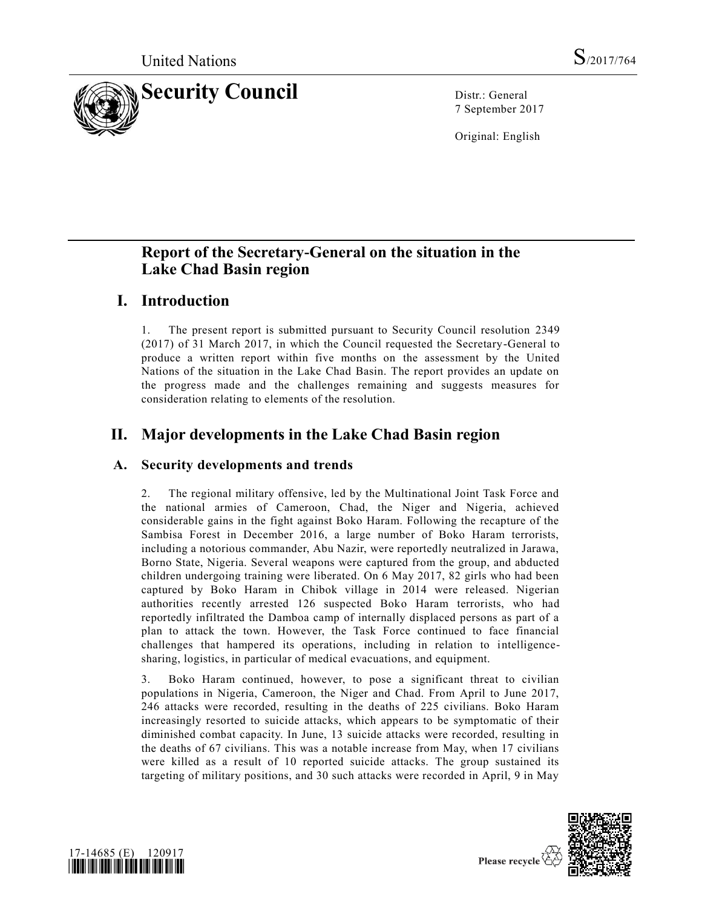

7 September 2017

Original: English

# **Report of the Secretary-General on the situation in the Lake Chad Basin region**

## **I. Introduction**

1. The present report is submitted pursuant to Security Council resolution [2349](https://undocs.org/S/RES/2349(2017))  [\(2017\)](https://undocs.org/S/RES/2349(2017)) of 31 March 2017, in which the Council requested the Secretary-General to produce a written report within five months on the assessment by the United Nations of the situation in the Lake Chad Basin. The report provides an update on the progress made and the challenges remaining and suggests measures for consideration relating to elements of the resolution.

# **II. Major developments in the Lake Chad Basin region**

## **A. Security developments and trends**

2. The regional military offensive, led by the Multinational Joint Task Force and the national armies of Cameroon, Chad, the Niger and Nigeria, achieved considerable gains in the fight against Boko Haram. Following the recapture of the Sambisa Forest in December 2016, a large number of Boko Haram terrorists, including a notorious commander, Abu Nazir, were reportedly neutralized in Jarawa, Borno State, Nigeria. Several weapons were captured from the group, and abducted children undergoing training were liberated. On 6 May 2017, 82 girls who had been captured by Boko Haram in Chibok village in 2014 were released. Nigerian authorities recently arrested 126 suspected Boko Haram terrorists, who had reportedly infiltrated the Damboa camp of internally displaced persons as part of a plan to attack the town. However, the Task Force continued to face financial challenges that hampered its operations, including in relation to intelligencesharing, logistics, in particular of medical evacuations, and equipment.

3. Boko Haram continued, however, to pose a significant threat to civilian populations in Nigeria, Cameroon, the Niger and Chad. From April to June 2017, 246 attacks were recorded, resulting in the deaths of 225 civilians. Boko Haram increasingly resorted to suicide attacks, which appears to be symptomatic of their diminished combat capacity. In June, 13 suicide attacks were recorded, resulting in the deaths of 67 civilians. This was a notable increase from May, when 17 civilians were killed as a result of 10 reported suicide attacks. The group sustained its targeting of military positions, and 30 such attacks were recorded in April, 9 in May



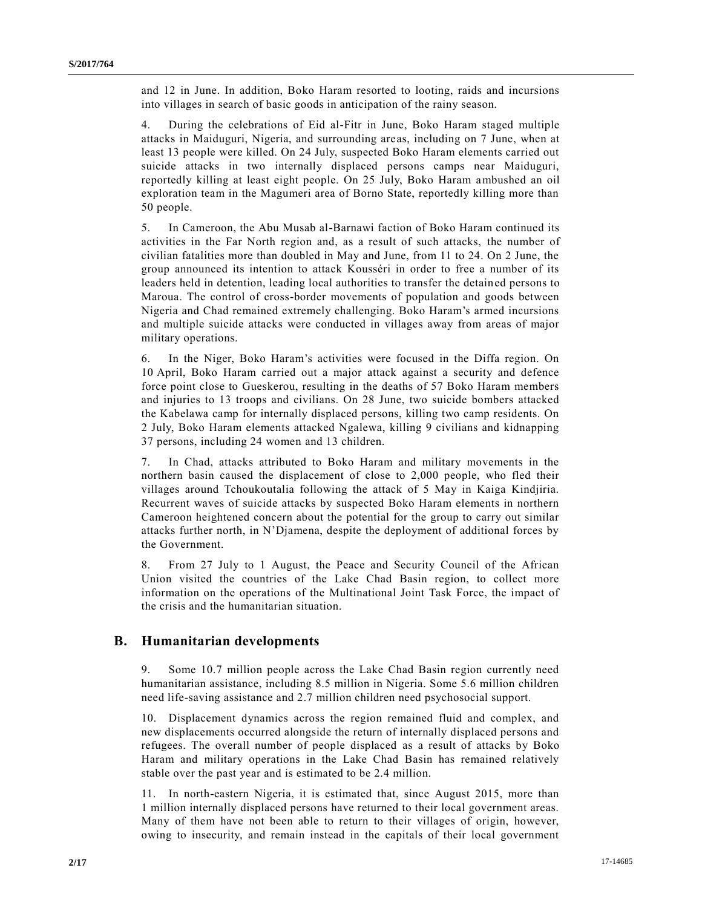and 12 in June. In addition, Boko Haram resorted to looting, raids and incursions into villages in search of basic goods in anticipation of the rainy season.

4. During the celebrations of Eid al-Fitr in June, Boko Haram staged multiple attacks in Maiduguri, Nigeria, and surrounding areas, including on 7 June, when at least 13 people were killed. On 24 July, suspected Boko Haram elements carried out suicide attacks in two internally displaced persons camps near Maiduguri, reportedly killing at least eight people. On 25 July, Boko Haram ambushed an oil exploration team in the Magumeri area of Borno State, reportedly killing more than 50 people.

5. In Cameroon, the Abu Musab al-Barnawi faction of Boko Haram continued its activities in the Far North region and, as a result of such attacks, the number of civilian fatalities more than doubled in May and June, from 11 to 24. On 2 June, the group announced its intention to attack Kousséri in order to free a number of its leaders held in detention, leading local authorities to transfer the detained persons to Maroua. The control of cross-border movements of population and goods between Nigeria and Chad remained extremely challenging. Boko Haram's armed incursions and multiple suicide attacks were conducted in villages away from areas of major military operations.

6. In the Niger, Boko Haram's activities were focused in the Diffa region. On 10 April, Boko Haram carried out a major attack against a security and defence force point close to Gueskerou, resulting in the deaths of 57 Boko Haram members and injuries to 13 troops and civilians. On 28 June, two suicide bombers attacked the Kabelawa camp for internally displaced persons, killing two camp residents. On 2 July, Boko Haram elements attacked Ngalewa, killing 9 civilians and kidnapping 37 persons, including 24 women and 13 children.

7. In Chad, attacks attributed to Boko Haram and military movements in the northern basin caused the displacement of close to 2,000 people, who fled their villages around Tchoukoutalia following the attack of 5 May in Kaiga Kindjiria. Recurrent waves of suicide attacks by suspected Boko Haram elements in northern Cameroon heightened concern about the potential for the group to carry out similar attacks further north, in N'Djamena, despite the deployment of additional forces by the Government.

8. From 27 July to 1 August, the Peace and Security Council of the African Union visited the countries of the Lake Chad Basin region, to collect more information on the operations of the Multinational Joint Task Force, the impact of the crisis and the humanitarian situation.

### **B. Humanitarian developments**

9. Some 10.7 million people across the Lake Chad Basin region currently need humanitarian assistance, including 8.5 million in Nigeria. Some 5.6 million children need life-saving assistance and 2.7 million children need psychosocial support.

10. Displacement dynamics across the region remained fluid and complex, and new displacements occurred alongside the return of internally displaced persons and refugees. The overall number of people displaced as a result of attacks by Boko Haram and military operations in the Lake Chad Basin has remained relatively stable over the past year and is estimated to be 2.4 million.

11. In north-eastern Nigeria, it is estimated that, since August 2015, more than 1 million internally displaced persons have returned to their local government areas. Many of them have not been able to return to their villages of origin, however, owing to insecurity, and remain instead in the capitals of their local government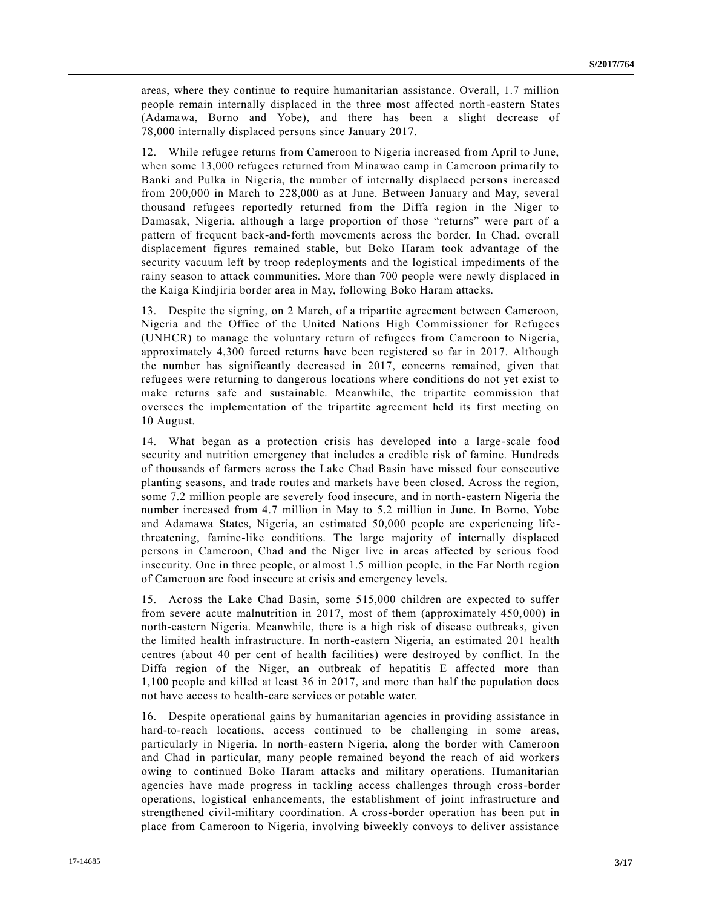areas, where they continue to require humanitarian assistance. Overall, 1.7 million people remain internally displaced in the three most affected north-eastern States (Adamawa, Borno and Yobe), and there has been a slight decrease of 78,000 internally displaced persons since January 2017.

12. While refugee returns from Cameroon to Nigeria increased from April to June, when some 13,000 refugees returned from Minawao camp in Cameroon primarily to Banki and Pulka in Nigeria, the number of internally displaced persons increased from 200,000 in March to 228,000 as at June. Between January and May, several thousand refugees reportedly returned from the Diffa region in the Niger to Damasak, Nigeria, although a large proportion of those "returns" were part of a pattern of frequent back-and-forth movements across the border. In Chad, overall displacement figures remained stable, but Boko Haram took advantage of the security vacuum left by troop redeployments and the logistical impediments of the rainy season to attack communities. More than 700 people were newly displaced in the Kaiga Kindjiria border area in May, following Boko Haram attacks.

13. Despite the signing, on 2 March, of a tripartite agreement between Cameroon, Nigeria and the Office of the United Nations High Commissioner for Refugees (UNHCR) to manage the voluntary return of refugees from Cameroon to Nigeria, approximately 4,300 forced returns have been registered so far in 2017. Although the number has significantly decreased in 2017, concerns remained, given that refugees were returning to dangerous locations where conditions do not yet exist to make returns safe and sustainable. Meanwhile, the tripartite commission that oversees the implementation of the tripartite agreement held its first meeting on 10 August.

14. What began as a protection crisis has developed into a large-scale food security and nutrition emergency that includes a credible risk of famine. Hundreds of thousands of farmers across the Lake Chad Basin have missed four consecutive planting seasons, and trade routes and markets have been closed. Across the region, some 7.2 million people are severely food insecure, and in north-eastern Nigeria the number increased from 4.7 million in May to 5.2 million in June. In Borno, Yobe and Adamawa States, Nigeria, an estimated 50,000 people are experiencing lifethreatening, famine-like conditions. The large majority of internally displaced persons in Cameroon, Chad and the Niger live in areas affected by serious food insecurity. One in three people, or almost 1.5 million people, in the Far North region of Cameroon are food insecure at crisis and emergency levels.

15. Across the Lake Chad Basin, some 515,000 children are expected to suffer from severe acute malnutrition in 2017, most of them (approximately 450,000) in north-eastern Nigeria. Meanwhile, there is a high risk of disease outbreaks, given the limited health infrastructure. In north-eastern Nigeria, an estimated 201 health centres (about 40 per cent of health facilities) were destroyed by conflict. In the Diffa region of the Niger, an outbreak of hepatitis E affected more than 1,100 people and killed at least 36 in 2017, and more than half the population does not have access to health-care services or potable water.

16. Despite operational gains by humanitarian agencies in providing assistance in hard-to-reach locations, access continued to be challenging in some areas, particularly in Nigeria. In north-eastern Nigeria, along the border with Cameroon and Chad in particular, many people remained beyond the reach of aid workers owing to continued Boko Haram attacks and military operations. Humanitarian agencies have made progress in tackling access challenges through cross-border operations, logistical enhancements, the establishment of joint infrastructure and strengthened civil-military coordination. A cross-border operation has been put in place from Cameroon to Nigeria, involving biweekly convoys to deliver assistance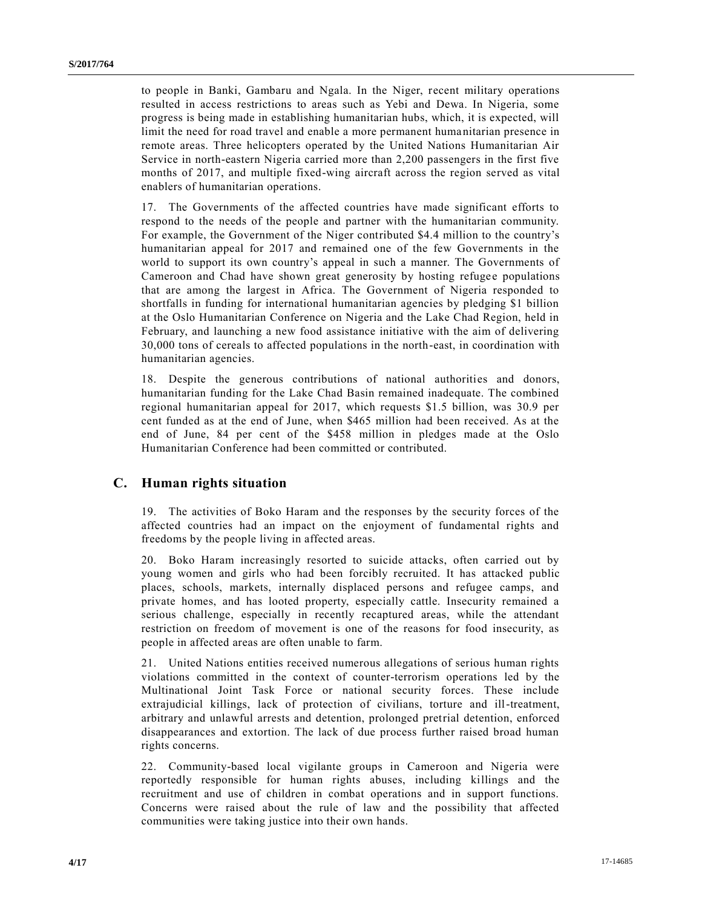to people in Banki, Gambaru and Ngala. In the Niger, recent military operations resulted in access restrictions to areas such as Yebi and Dewa. In Nigeria, some progress is being made in establishing humanitarian hubs, which, it is expected, will limit the need for road travel and enable a more permanent humanitarian presence in remote areas. Three helicopters operated by the United Nations Humanitarian Air Service in north-eastern Nigeria carried more than 2,200 passengers in the first five months of 2017, and multiple fixed-wing aircraft across the region served as vital enablers of humanitarian operations.

17. The Governments of the affected countries have made significant efforts to respond to the needs of the people and partner with the humanitarian community. For example, the Government of the Niger contributed \$4.4 million to the country's humanitarian appeal for 2017 and remained one of the few Governments in the world to support its own country's appeal in such a manner. The Governments of Cameroon and Chad have shown great generosity by hosting refugee populations that are among the largest in Africa. The Government of Nigeria responded to shortfalls in funding for international humanitarian agencies by pledging \$1 billion at the Oslo Humanitarian Conference on Nigeria and the Lake Chad Region, held in February, and launching a new food assistance initiative with the aim of delivering 30,000 tons of cereals to affected populations in the north-east, in coordination with humanitarian agencies.

18. Despite the generous contributions of national authorities and donors, humanitarian funding for the Lake Chad Basin remained inadequate. The combined regional humanitarian appeal for 2017, which requests \$1.5 billion, was 30.9 per cent funded as at the end of June, when \$465 million had been received. As at the end of June, 84 per cent of the \$458 million in pledges made at the Oslo Humanitarian Conference had been committed or contributed.

#### **C. Human rights situation**

19. The activities of Boko Haram and the responses by the security forces of the affected countries had an impact on the enjoyment of fundamental rights and freedoms by the people living in affected areas.

20. Boko Haram increasingly resorted to suicide attacks, often carried out by young women and girls who had been forcibly recruited. It has attacked public places, schools, markets, internally displaced persons and refugee camps, and private homes, and has looted property, especially cattle. Insecurity remained a serious challenge, especially in recently recaptured areas, while the attendant restriction on freedom of movement is one of the reasons for food insecurity, as people in affected areas are often unable to farm.

21. United Nations entities received numerous allegations of serious human rights violations committed in the context of counter-terrorism operations led by the Multinational Joint Task Force or national security forces. These include extrajudicial killings, lack of protection of civilians, torture and ill-treatment, arbitrary and unlawful arrests and detention, prolonged pretrial detention, enforced disappearances and extortion. The lack of due process further raised broad human rights concerns.

22. Community-based local vigilante groups in Cameroon and Nigeria were reportedly responsible for human rights abuses, including killings and the recruitment and use of children in combat operations and in support functions. Concerns were raised about the rule of law and the possibility that affected communities were taking justice into their own hands.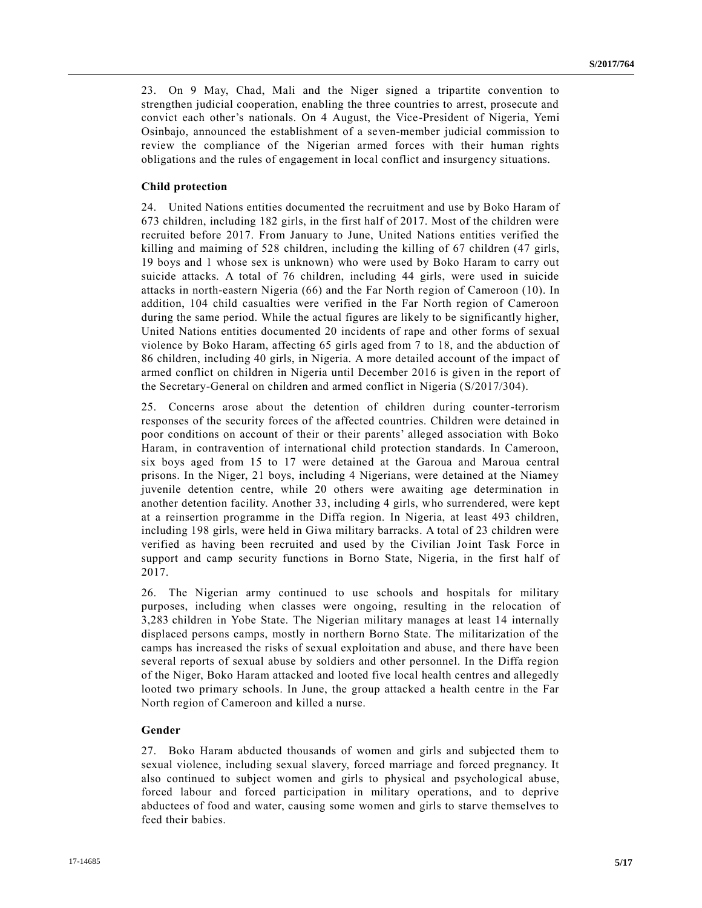23. On 9 May, Chad, Mali and the Niger signed a tripartite convention to strengthen judicial cooperation, enabling the three countries to arrest, prosecute and convict each other's nationals. On 4 August, the Vice-President of Nigeria, Yemi Osinbajo, announced the establishment of a seven-member judicial commission to review the compliance of the Nigerian armed forces with their human rights obligations and the rules of engagement in local conflict and insurgency situations.

#### **Child protection**

24. United Nations entities documented the recruitment and use by Boko Haram of 673 children, including 182 girls, in the first half of 2017. Most of the children were recruited before 2017. From January to June, United Nations entities verified the killing and maiming of 528 children, including the killing of 67 children (47 girls, 19 boys and 1 whose sex is unknown) who were used by Boko Haram to carry out suicide attacks. A total of 76 children, including 44 girls, were used in suicide attacks in north-eastern Nigeria (66) and the Far North region of Cameroon (10). In addition, 104 child casualties were verified in the Far North region of Cameroon during the same period. While the actual figures are likely to be significantly higher, United Nations entities documented 20 incidents of rape and other forms of sexual violence by Boko Haram, affecting 65 girls aged from 7 to 18, and the abduction of 86 children, including 40 girls, in Nigeria. A more detailed account of the impact of armed conflict on children in Nigeria until December 2016 is given in the report of the Secretary-General on children and armed conflict in Nigeria [\(S/2017/304\)](https://undocs.org/S/2017/304).

25. Concerns arose about the detention of children during counter-terrorism responses of the security forces of the affected countries. Children were detained in poor conditions on account of their or their parents' alleged association with Boko Haram, in contravention of international child protection standards. In Cameroon, six boys aged from 15 to 17 were detained at the Garoua and Maroua central prisons. In the Niger, 21 boys, including 4 Nigerians, were detained at the Niamey juvenile detention centre, while 20 others were awaiting age determination in another detention facility. Another 33, including 4 girls, who surrendered, were kept at a reinsertion programme in the Diffa region. In Nigeria, at least 493 children, including 198 girls, were held in Giwa military barracks. A total of 23 children were verified as having been recruited and used by the Civilian Joint Task Force in support and camp security functions in Borno State, Nigeria, in the first half of 2017.

26. The Nigerian army continued to use schools and hospitals for military purposes, including when classes were ongoing, resulting in the relocation of 3,283 children in Yobe State. The Nigerian military manages at least 14 internally displaced persons camps, mostly in northern Borno State. The militarization of the camps has increased the risks of sexual exploitation and abuse, and there have been several reports of sexual abuse by soldiers and other personnel. In the Diffa region of the Niger, Boko Haram attacked and looted five local health centres and allegedly looted two primary schools. In June, the group attacked a health centre in the Far North region of Cameroon and killed a nurse.

#### **Gender**

27. Boko Haram abducted thousands of women and girls and subjected them to sexual violence, including sexual slavery, forced marriage and forced pregnancy. It also continued to subject women and girls to physical and psychological abuse, forced labour and forced participation in military operations, and to deprive abductees of food and water, causing some women and girls to starve themselves to feed their babies.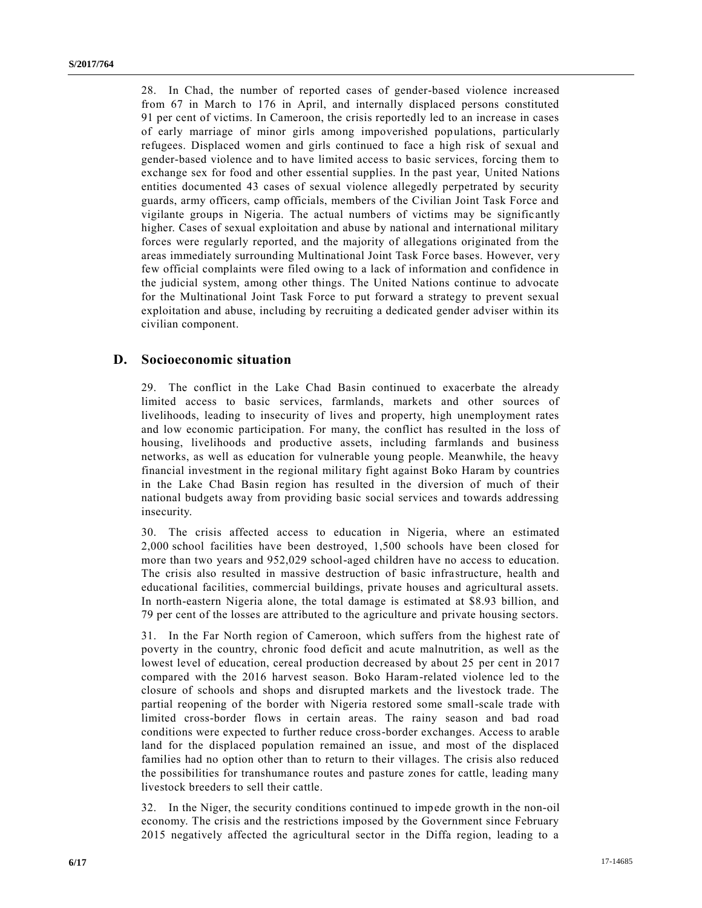28. In Chad, the number of reported cases of gender-based violence increased from 67 in March to 176 in April, and internally displaced persons constituted 91 per cent of victims. In Cameroon, the crisis reportedly led to an increase in cases of early marriage of minor girls among impoverished populations, particularly refugees. Displaced women and girls continued to face a high risk of sexual and gender-based violence and to have limited access to basic services, forcing them to exchange sex for food and other essential supplies. In the past year, United Nations entities documented 43 cases of sexual violence allegedly perpetrated by security guards, army officers, camp officials, members of the Civilian Joint Task Force and vigilante groups in Nigeria. The actual numbers of victims may be signific antly higher. Cases of sexual exploitation and abuse by national and international military forces were regularly reported, and the majority of allegations originated from the areas immediately surrounding Multinational Joint Task Force bases. However, ver y few official complaints were filed owing to a lack of information and confidence in the judicial system, among other things. The United Nations continue to advocate for the Multinational Joint Task Force to put forward a strategy to prevent sexual exploitation and abuse, including by recruiting a dedicated gender adviser within its civilian component.

### **D. Socioeconomic situation**

29. The conflict in the Lake Chad Basin continued to exacerbate the already limited access to basic services, farmlands, markets and other sources of livelihoods, leading to insecurity of lives and property, high unemployment rates and low economic participation. For many, the conflict has resulted in the loss of housing, livelihoods and productive assets, including farmlands and business networks, as well as education for vulnerable young people. Meanwhile, the heavy financial investment in the regional military fight against Boko Haram by countries in the Lake Chad Basin region has resulted in the diversion of much of their national budgets away from providing basic social services and towards addressing insecurity.

30. The crisis affected access to education in Nigeria, where an estimated 2,000 school facilities have been destroyed, 1,500 schools have been closed for more than two years and 952,029 school-aged children have no access to education. The crisis also resulted in massive destruction of basic infrastructure, health and educational facilities, commercial buildings, private houses and agricultural assets. In north-eastern Nigeria alone, the total damage is estimated at \$8.93 billion, and 79 per cent of the losses are attributed to the agriculture and private housing sectors.

31. In the Far North region of Cameroon, which suffers from the highest rate of poverty in the country, chronic food deficit and acute malnutrition, as well as the lowest level of education, cereal production decreased by about 25 per cent in 2017 compared with the 2016 harvest season. Boko Haram-related violence led to the closure of schools and shops and disrupted markets and the livestock trade. The partial reopening of the border with Nigeria restored some small-scale trade with limited cross-border flows in certain areas. The rainy season and bad road conditions were expected to further reduce cross-border exchanges. Access to arable land for the displaced population remained an issue, and most of the displaced families had no option other than to return to their villages. The crisis also reduced the possibilities for transhumance routes and pasture zones for cattle, leading many livestock breeders to sell their cattle.

32. In the Niger, the security conditions continued to impede growth in the non-oil economy. The crisis and the restrictions imposed by the Government since February 2015 negatively affected the agricultural sector in the Diffa region, leading to a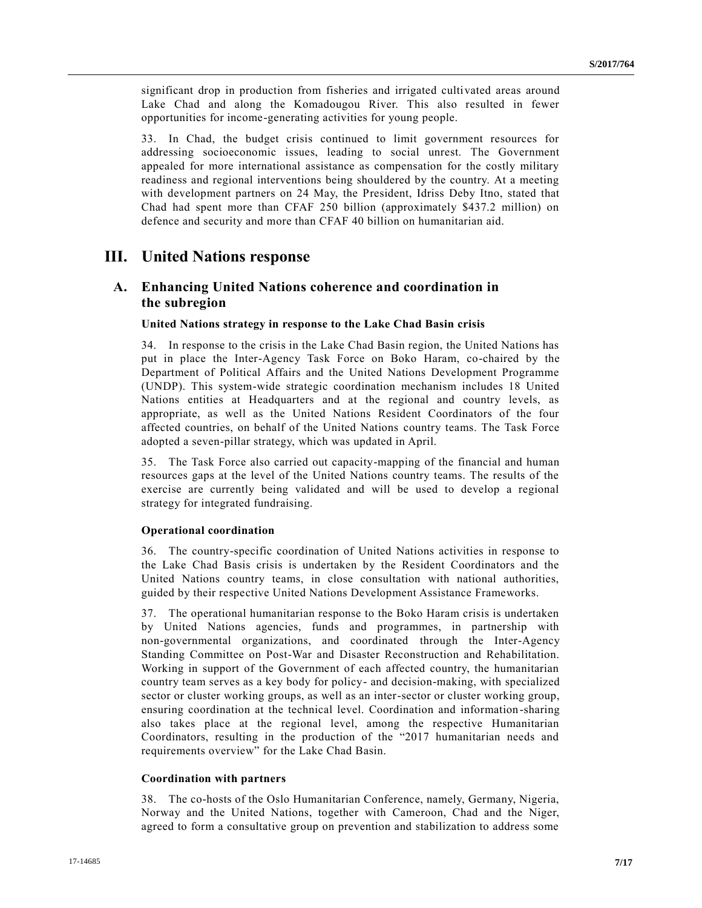significant drop in production from fisheries and irrigated cultivated areas around Lake Chad and along the Komadougou River. This also resulted in fewer opportunities for income-generating activities for young people.

33. In Chad, the budget crisis continued to limit government resources for addressing socioeconomic issues, leading to social unrest. The Government appealed for more international assistance as compensation for the costly military readiness and regional interventions being shouldered by the country. At a meeting with development partners on 24 May, the President, Idriss Deby Itno, stated that Chad had spent more than CFAF 250 billion (approximately \$437.2 million) on defence and security and more than CFAF 40 billion on humanitarian aid.

## **III. United Nations response**

## **A. Enhancing United Nations coherence and coordination in the subregion**

#### **United Nations strategy in response to the Lake Chad Basin crisis**

34. In response to the crisis in the Lake Chad Basin region, the United Nations has put in place the Inter-Agency Task Force on Boko Haram, co-chaired by the Department of Political Affairs and the United Nations Development Programme (UNDP). This system-wide strategic coordination mechanism includes 18 United Nations entities at Headquarters and at the regional and country levels, as appropriate, as well as the United Nations Resident Coordinators of the four affected countries, on behalf of the United Nations country teams. The Task Force adopted a seven-pillar strategy, which was updated in April.

35. The Task Force also carried out capacity-mapping of the financial and human resources gaps at the level of the United Nations country teams. The results of the exercise are currently being validated and will be used to develop a regional strategy for integrated fundraising.

#### **Operational coordination**

36. The country-specific coordination of United Nations activities in response to the Lake Chad Basis crisis is undertaken by the Resident Coordinators and the United Nations country teams, in close consultation with national authorities, guided by their respective United Nations Development Assistance Frameworks.

37. The operational humanitarian response to the Boko Haram crisis is undertaken by United Nations agencies, funds and programmes, in partnership with non-governmental organizations, and coordinated through the Inter-Agency Standing Committee on Post-War and Disaster Reconstruction and Rehabilitation. Working in support of the Government of each affected country, the humanitarian country team serves as a key body for policy- and decision-making, with specialized sector or cluster working groups, as well as an inter-sector or cluster working group, ensuring coordination at the technical level. Coordination and information-sharing also takes place at the regional level, among the respective Humanitarian Coordinators, resulting in the production of the "2017 humanitarian needs and requirements overview" for the Lake Chad Basin.

#### **Coordination with partners**

38. The co-hosts of the Oslo Humanitarian Conference, namely, Germany, Nigeria, Norway and the United Nations, together with Cameroon, Chad and the Niger, agreed to form a consultative group on prevention and stabilization to address some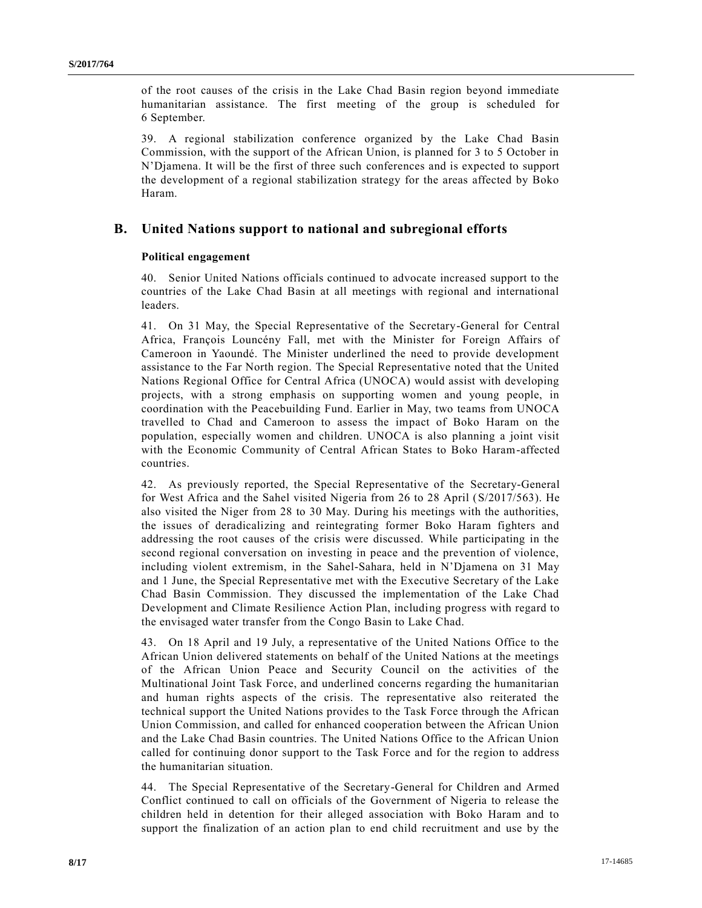of the root causes of the crisis in the Lake Chad Basin region beyond immediate humanitarian assistance. The first meeting of the group is scheduled for 6 September.

39. A regional stabilization conference organized by the Lake Chad Basin Commission, with the support of the African Union, is planned for 3 to 5 October in N'Djamena. It will be the first of three such conferences and is expected to support the development of a regional stabilization strategy for the areas affected by Boko Haram.

### **B. United Nations support to national and subregional efforts**

#### **Political engagement**

40. Senior United Nations officials continued to advocate increased support to the countries of the Lake Chad Basin at all meetings with regional and international leaders.

41. On 31 May, the Special Representative of the Secretary-General for Central Africa, François Louncény Fall, met with the Minister for Foreign Affairs of Cameroon in Yaoundé. The Minister underlined the need to provide development assistance to the Far North region. The Special Representative noted that the United Nations Regional Office for Central Africa (UNOCA) would assist with developing projects, with a strong emphasis on supporting women and young people, in coordination with the Peacebuilding Fund. Earlier in May, two teams from UNOCA travelled to Chad and Cameroon to assess the impact of Boko Haram on the population, especially women and children. UNOCA is also planning a joint visit with the Economic Community of Central African States to Boko Haram-affected countries.

42. As previously reported, the Special Representative of the Secretary-General for West Africa and the Sahel visited Nigeria from 26 to 28 April [\(S/2017/563\)](https://undocs.org/S/2017/563). He also visited the Niger from 28 to 30 May. During his meetings with the authorities, the issues of deradicalizing and reintegrating former Boko Haram fighters and addressing the root causes of the crisis were discussed. While participating in the second regional conversation on investing in peace and the prevention of violence, including violent extremism, in the Sahel-Sahara, held in N'Djamena on 31 May and 1 June, the Special Representative met with the Executive Secretary of the Lake Chad Basin Commission. They discussed the implementation of the Lake Chad Development and Climate Resilience Action Plan, including progress with regard to the envisaged water transfer from the Congo Basin to Lake Chad.

43. On 18 April and 19 July, a representative of the United Nations Office to the African Union delivered statements on behalf of the United Nations at the meetings of the African Union Peace and Security Council on the activities of the Multinational Joint Task Force, and underlined concerns regarding the humanitarian and human rights aspects of the crisis. The representative also reiterated the technical support the United Nations provides to the Task Force through the African Union Commission, and called for enhanced cooperation between the African Union and the Lake Chad Basin countries. The United Nations Office to the African Union called for continuing donor support to the Task Force and for the region to address the humanitarian situation.

44. The Special Representative of the Secretary-General for Children and Armed Conflict continued to call on officials of the Government of Nigeria to release the children held in detention for their alleged association with Boko Haram and to support the finalization of an action plan to end child recruitment and use by the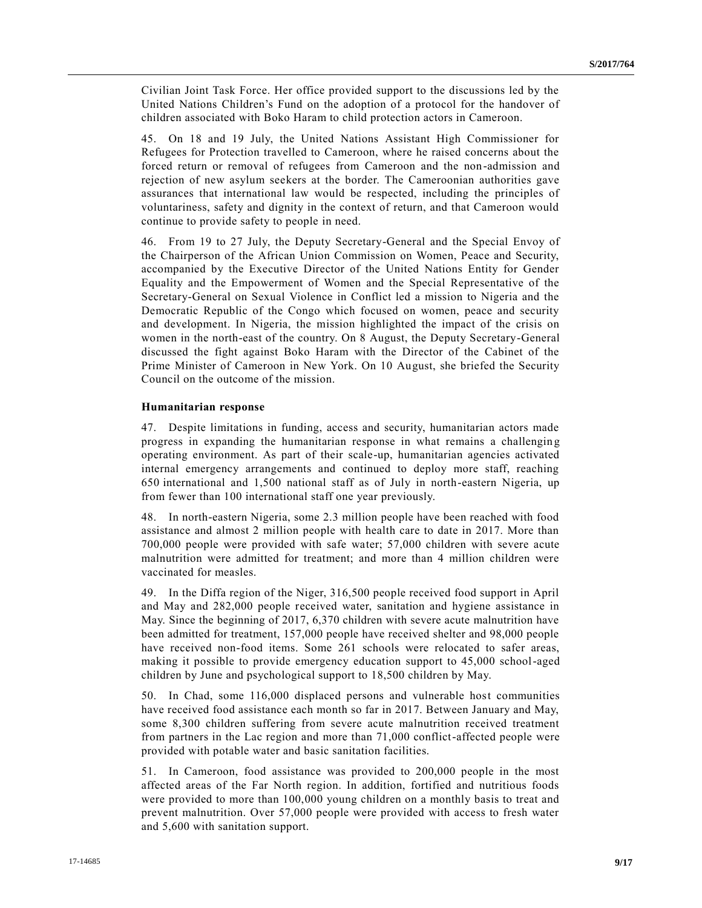Civilian Joint Task Force. Her office provided support to the discussions led by the United Nations Children's Fund on the adoption of a protocol for the handover of children associated with Boko Haram to child protection actors in Cameroon.

45. On 18 and 19 July, the United Nations Assistant High Commissioner for Refugees for Protection travelled to Cameroon, where he raised concerns about the forced return or removal of refugees from Cameroon and the non-admission and rejection of new asylum seekers at the border. The Cameroonian authorities gave assurances that international law would be respected, including the principles of voluntariness, safety and dignity in the context of return, and that Cameroon would continue to provide safety to people in need.

46. From 19 to 27 July, the Deputy Secretary-General and the Special Envoy of the Chairperson of the African Union Commission on Women, Peace and Security, accompanied by the Executive Director of the United Nations Entity for Gender Equality and the Empowerment of Women and the Special Representative of the Secretary-General on Sexual Violence in Conflict led a mission to Nigeria and the Democratic Republic of the Congo which focused on women, peace and security and development. In Nigeria, the mission highlighted the impact of the crisis on women in the north-east of the country. On 8 August, the Deputy Secretary-General discussed the fight against Boko Haram with the Director of the Cabinet of the Prime Minister of Cameroon in New York. On 10 August, she briefed the Security Council on the outcome of the mission.

#### **Humanitarian response**

47. Despite limitations in funding, access and security, humanitarian actors made progress in expanding the humanitarian response in what remains a challengin g operating environment. As part of their scale-up, humanitarian agencies activated internal emergency arrangements and continued to deploy more staff, reaching 650 international and 1,500 national staff as of July in north-eastern Nigeria, up from fewer than 100 international staff one year previously.

48. In north-eastern Nigeria, some 2.3 million people have been reached with food assistance and almost 2 million people with health care to date in 2017. More than 700,000 people were provided with safe water; 57,000 children with severe acute malnutrition were admitted for treatment; and more than 4 million children were vaccinated for measles.

49. In the Diffa region of the Niger, 316,500 people received food support in April and May and 282,000 people received water, sanitation and hygiene assistance in May. Since the beginning of 2017, 6,370 children with severe acute malnutrition have been admitted for treatment, 157,000 people have received shelter and 98,000 people have received non-food items. Some 261 schools were relocated to safer areas, making it possible to provide emergency education support to 45,000 school-aged children by June and psychological support to 18,500 children by May.

50. In Chad, some 116,000 displaced persons and vulnerable host communities have received food assistance each month so far in 2017. Between January and May, some 8,300 children suffering from severe acute malnutrition received treatment from partners in the Lac region and more than 71,000 conflict-affected people were provided with potable water and basic sanitation facilities.

51. In Cameroon, food assistance was provided to 200,000 people in the most affected areas of the Far North region. In addition, fortified and nutritious foods were provided to more than 100,000 young children on a monthly basis to treat and prevent malnutrition. Over 57,000 people were provided with access to fresh water and 5,600 with sanitation support.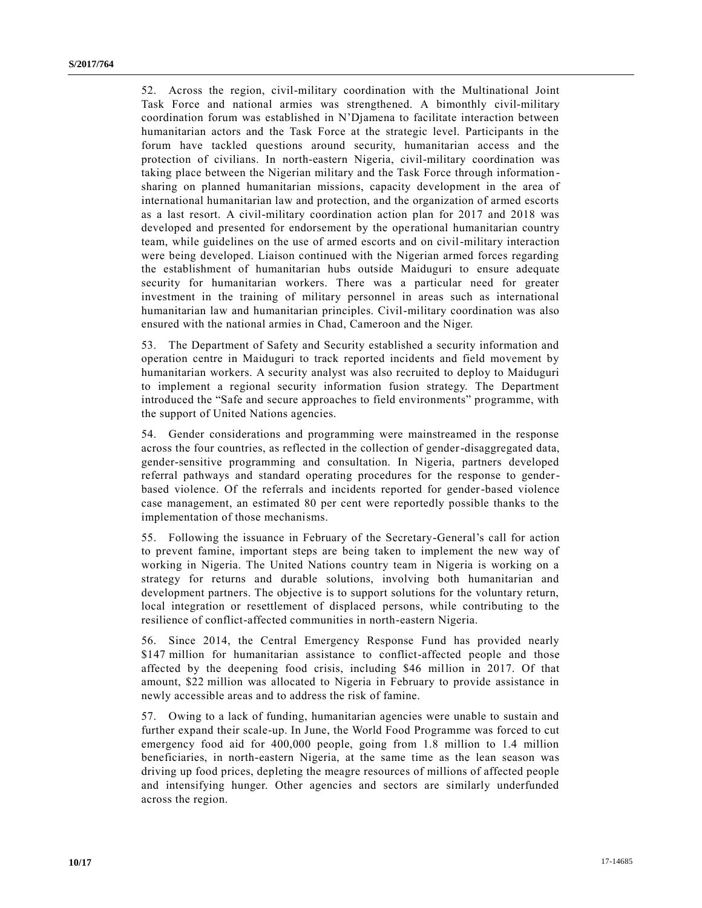52. Across the region, civil-military coordination with the Multinational Joint Task Force and national armies was strengthened. A bimonthly civil-military coordination forum was established in N'Djamena to facilitate interaction between humanitarian actors and the Task Force at the strategic level. Participants in the forum have tackled questions around security, humanitarian access and the protection of civilians. In north-eastern Nigeria, civil-military coordination was taking place between the Nigerian military and the Task Force through information sharing on planned humanitarian missions, capacity development in the area of international humanitarian law and protection, and the organization of armed escorts as a last resort. A civil-military coordination action plan for 2017 and 2018 was developed and presented for endorsement by the operational humanitarian country team, while guidelines on the use of armed escorts and on civil-military interaction were being developed. Liaison continued with the Nigerian armed forces regarding the establishment of humanitarian hubs outside Maiduguri to ensure adequate security for humanitarian workers. There was a particular need for greater investment in the training of military personnel in areas such as international humanitarian law and humanitarian principles. Civil-military coordination was also ensured with the national armies in Chad, Cameroon and the Niger.

53. The Department of Safety and Security established a security information and operation centre in Maiduguri to track reported incidents and field movement by humanitarian workers. A security analyst was also recruited to deploy to Maiduguri to implement a regional security information fusion strategy. The Department introduced the "Safe and secure approaches to field environments" programme, with the support of United Nations agencies.

54. Gender considerations and programming were mainstreamed in the response across the four countries, as reflected in the collection of gender-disaggregated data, gender-sensitive programming and consultation. In Nigeria, partners developed referral pathways and standard operating procedures for the response to genderbased violence. Of the referrals and incidents reported for gender-based violence case management, an estimated 80 per cent were reportedly possible thanks to the implementation of those mechanisms.

55. Following the issuance in February of the Secretary-General's call for action to prevent famine, important steps are being taken to implement the new way of working in Nigeria. The United Nations country team in Nigeria is working on a strategy for returns and durable solutions, involving both humanitarian and development partners. The objective is to support solutions for the voluntary return, local integration or resettlement of displaced persons, while contributing to the resilience of conflict-affected communities in north-eastern Nigeria.

56. Since 2014, the Central Emergency Response Fund has provided nearly \$147 million for humanitarian assistance to conflict-affected people and those affected by the deepening food crisis, including \$46 million in 2017. Of that amount, \$22 million was allocated to Nigeria in February to provide assistance in newly accessible areas and to address the risk of famine.

57. Owing to a lack of funding, humanitarian agencies were unable to sustain and further expand their scale-up. In June, the World Food Programme was forced to cut emergency food aid for 400,000 people, going from 1.8 million to 1.4 million beneficiaries, in north-eastern Nigeria, at the same time as the lean season was driving up food prices, depleting the meagre resources of millions of affected people and intensifying hunger. Other agencies and sectors are similarly underfunded across the region.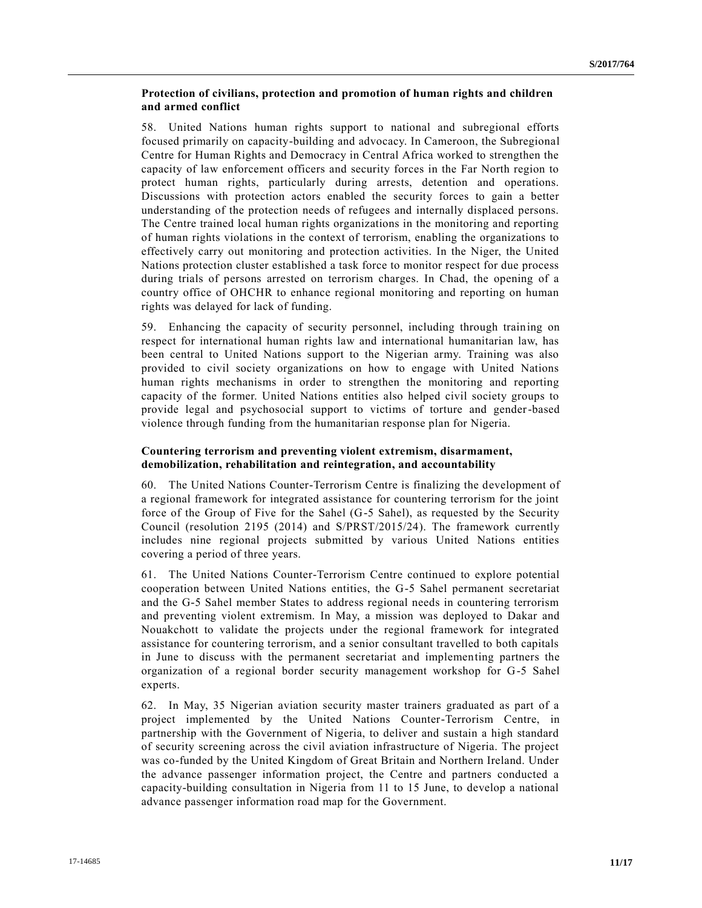#### **Protection of civilians, protection and promotion of human rights and children and armed conflict**

58. United Nations human rights support to national and subregional efforts focused primarily on capacity-building and advocacy. In Cameroon, the Subregional Centre for Human Rights and Democracy in Central Africa worked to strengthen the capacity of law enforcement officers and security forces in the Far North region to protect human rights, particularly during arrests, detention and operations. Discussions with protection actors enabled the security forces to gain a better understanding of the protection needs of refugees and internally displaced persons. The Centre trained local human rights organizations in the monitoring and reporting of human rights violations in the context of terrorism, enabling the organizations to effectively carry out monitoring and protection activities. In the Niger, the United Nations protection cluster established a task force to monitor respect for due process during trials of persons arrested on terrorism charges. In Chad, the opening of a country office of OHCHR to enhance regional monitoring and reporting on human rights was delayed for lack of funding.

59. Enhancing the capacity of security personnel, including through training on respect for international human rights law and international humanitarian law, has been central to United Nations support to the Nigerian army. Training was also provided to civil society organizations on how to engage with United Nations human rights mechanisms in order to strengthen the monitoring and reporting capacity of the former. United Nations entities also helped civil society groups to provide legal and psychosocial support to victims of torture and gender-based violence through funding from the humanitarian response plan for Nigeria.

#### **Countering terrorism and preventing violent extremism, disarmament, demobilization, rehabilitation and reintegration, and accountability**

60. The United Nations Counter-Terrorism Centre is finalizing the development of a regional framework for integrated assistance for countering terrorism for the joint force of the Group of Five for the Sahel (G-5 Sahel), as requested by the Security Council (resolution [2195 \(2014\)](https://undocs.org/S/RES/2195(2014)) and [S/PRST/2015/24\)](https://undocs.org/S/PRST/2015/24). The framework currently includes nine regional projects submitted by various United Nations entities covering a period of three years.

61. The United Nations Counter-Terrorism Centre continued to explore potential cooperation between United Nations entities, the G-5 Sahel permanent secretariat and the G-5 Sahel member States to address regional needs in countering terrorism and preventing violent extremism. In May, a mission was deployed to Dakar and Nouakchott to validate the projects under the regional framework for integrated assistance for countering terrorism, and a senior consultant travelled to both capitals in June to discuss with the permanent secretariat and implementing partners the organization of a regional border security management workshop for G-5 Sahel experts.

62. In May, 35 Nigerian aviation security master trainers graduated as part of a project implemented by the United Nations Counter-Terrorism Centre, in partnership with the Government of Nigeria, to deliver and sustain a high standard of security screening across the civil aviation infrastructure of Nigeria. The project was co-funded by the United Kingdom of Great Britain and Northern Ireland. Under the advance passenger information project, the Centre and partners conducted a capacity-building consultation in Nigeria from 11 to 15 June, to develop a national advance passenger information road map for the Government.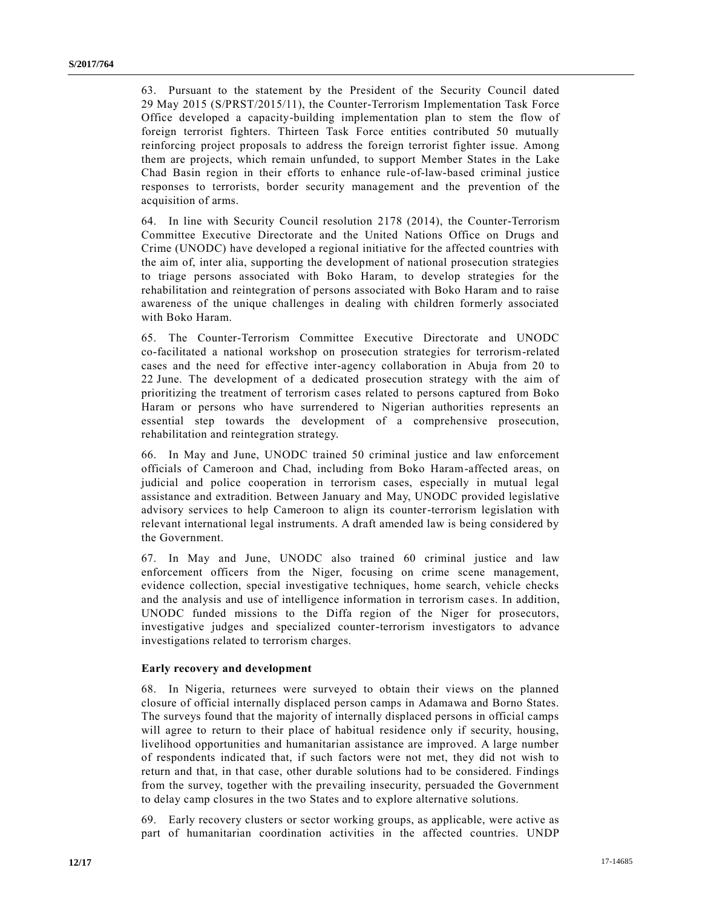63. Pursuant to the statement by the President of the Security Council dated 29 May 2015 [\(S/PRST/2015/11\)](https://undocs.org/S/PRST/2015/11), the Counter-Terrorism Implementation Task Force Office developed a capacity-building implementation plan to stem the flow of foreign terrorist fighters. Thirteen Task Force entities contributed 50 mutually reinforcing project proposals to address the foreign terrorist fighter issue. Among them are projects, which remain unfunded, to support Member States in the Lake Chad Basin region in their efforts to enhance rule-of-law-based criminal justice responses to terrorists, border security management and the prevention of the acquisition of arms.

64. In line with Security Council resolution [2178 \(2014\),](https://undocs.org/S/RES/2178(2014)) the Counter-Terrorism Committee Executive Directorate and the United Nations Office on Drugs and Crime (UNODC) have developed a regional initiative for the affected countries with the aim of, inter alia, supporting the development of national prosecution strategies to triage persons associated with Boko Haram, to develop strategies for the rehabilitation and reintegration of persons associated with Boko Haram and to raise awareness of the unique challenges in dealing with children formerly associated with Boko Haram.

65. The Counter-Terrorism Committee Executive Directorate and UNODC co-facilitated a national workshop on prosecution strategies for terrorism-related cases and the need for effective inter-agency collaboration in Abuja from 20 to 22 June. The development of a dedicated prosecution strategy with the aim of prioritizing the treatment of terrorism cases related to persons captured from Boko Haram or persons who have surrendered to Nigerian authorities represents an essential step towards the development of a comprehensive prosecution, rehabilitation and reintegration strategy.

66. In May and June, UNODC trained 50 criminal justice and law enforcement officials of Cameroon and Chad, including from Boko Haram-affected areas, on judicial and police cooperation in terrorism cases, especially in mutual legal assistance and extradition. Between January and May, UNODC provided legislative advisory services to help Cameroon to align its counter-terrorism legislation with relevant international legal instruments. A draft amended law is being considered by the Government.

67. In May and June, UNODC also trained 60 criminal justice and law enforcement officers from the Niger, focusing on crime scene management, evidence collection, special investigative techniques, home search, vehicle checks and the analysis and use of intelligence information in terrorism cases. In addition, UNODC funded missions to the Diffa region of the Niger for prosecutors, investigative judges and specialized counter-terrorism investigators to advance investigations related to terrorism charges.

#### **Early recovery and development**

68. In Nigeria, returnees were surveyed to obtain their views on the planned closure of official internally displaced person camps in Adamawa and Borno States. The surveys found that the majority of internally displaced persons in official camps will agree to return to their place of habitual residence only if security, housing, livelihood opportunities and humanitarian assistance are improved. A large number of respondents indicated that, if such factors were not met, they did not wish to return and that, in that case, other durable solutions had to be considered. Findings from the survey, together with the prevailing insecurity, persuaded the Government to delay camp closures in the two States and to explore alternative solutions.

69. Early recovery clusters or sector working groups, as applicable, were active as part of humanitarian coordination activities in the affected countries. UNDP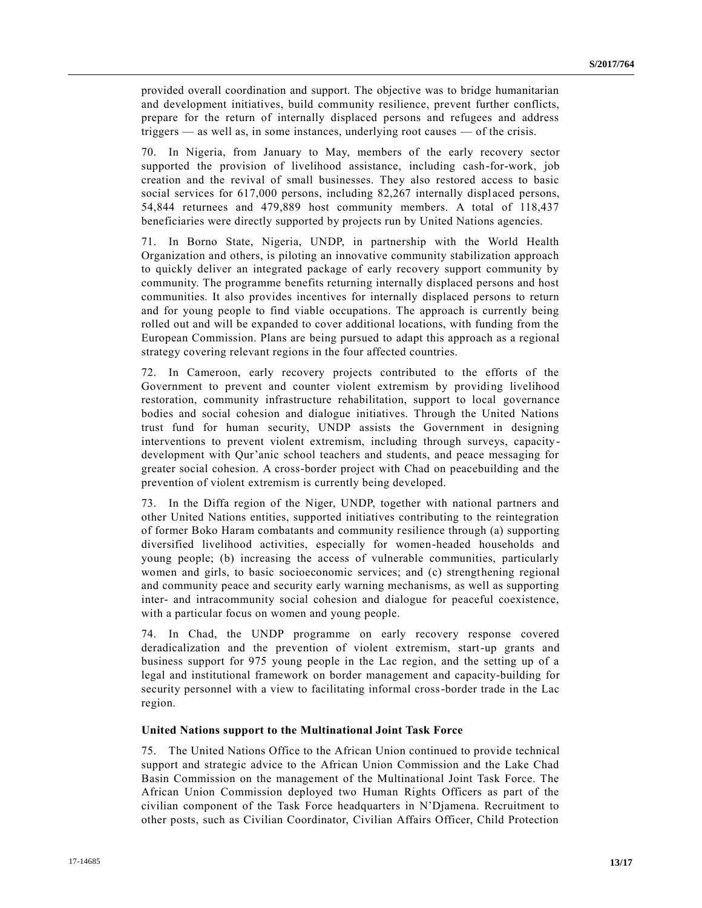provided overall coordination and support. The objective was to bridge humanitarian and development initiatives, build community resilience, prevent further conflicts, prepare for the return of internally displaced persons and refugees and address triggers — as well as, in some instances, underlying root causes — of the crisis.

70. In Nigeria, from January to May, members of the early recovery sector supported the provision of livelihood assistance, including cash-for-work, job creation and the revival of small businesses. They also restored access to basic social services for  $617,000$  persons, including 82,267 internally displaced persons, 54,844 returnees and 479,889 host community members. A total of 118,437 beneficiaries were directly supported by projects run by United Nations agencies.

71. In Borno State, Nigeria, UNDP, in partnership with the World Health Organization and others, is piloting an innovative community stabilization approach to quickly deliver an integrated package of early recovery support community by community. The programme benefits returning internally displaced persons and host communities. It also provides incentives for internally displaced persons to return and for young people to find viable occupations. The approach is currently being rolled out and will be expanded to cover additional locations, with funding from the European Commission. Plans are being pursued to adapt this approach as a regional strategy covering relevant regions in the four affected countries.

72. In Cameroon, early recovery projects contributed to the efforts of the Government to prevent and counter violent extremism by providing livelihood restoration, community infrastructure rehabilitation, support to local governance bodies and social cohesion and dialogue initiatives. Through the United Nations trust fund for human security, UNDP assists the Government in designing interventions to prevent violent extremism, including through surveys, capacitydevelopment with Qur'anic school teachers and students, and peace messaging for greater social cohesion. A cross-border project with Chad on peacebuilding and the prevention of violent extremism is currently being developed.

73. In the Diffa region of the Niger, UNDP, together with national partners and other United Nations entities, supported initiatives contributing to the reintegration of former Boko Haram combatants and community resilience through (a) supporting diversified livelihood activities, especially for women-headed households and young people; (b) increasing the access of vulnerable communities, particularly women and girls, to basic socioeconomic services; and (c) strengthening regional and community peace and security early warning mechanisms, as well as supporting inter- and intracommunity social cohesion and dialogue for peaceful coexistence, with a particular focus on women and young people.

74. In Chad, the UNDP programme on early recovery response covered deradicalization and the prevention of violent extremism, start-up grants and business support for 975 young people in the Lac region, and the setting up of a legal and institutional framework on border management and capacity-building for security personnel with a view to facilitating informal cross-border trade in the Lac region.

#### **United Nations support to the Multinational Joint Task Force**

75. The United Nations Office to the African Union continued to provide technical support and strategic advice to the African Union Commission and the Lake Chad Basin Commission on the management of the Multinational Joint Task Force. The African Union Commission deployed two Human Rights Officers as part of the civilian component of the Task Force headquarters in N'Djamena. Recruitment to other posts, such as Civilian Coordinator, Civilian Affairs Officer, Child Protection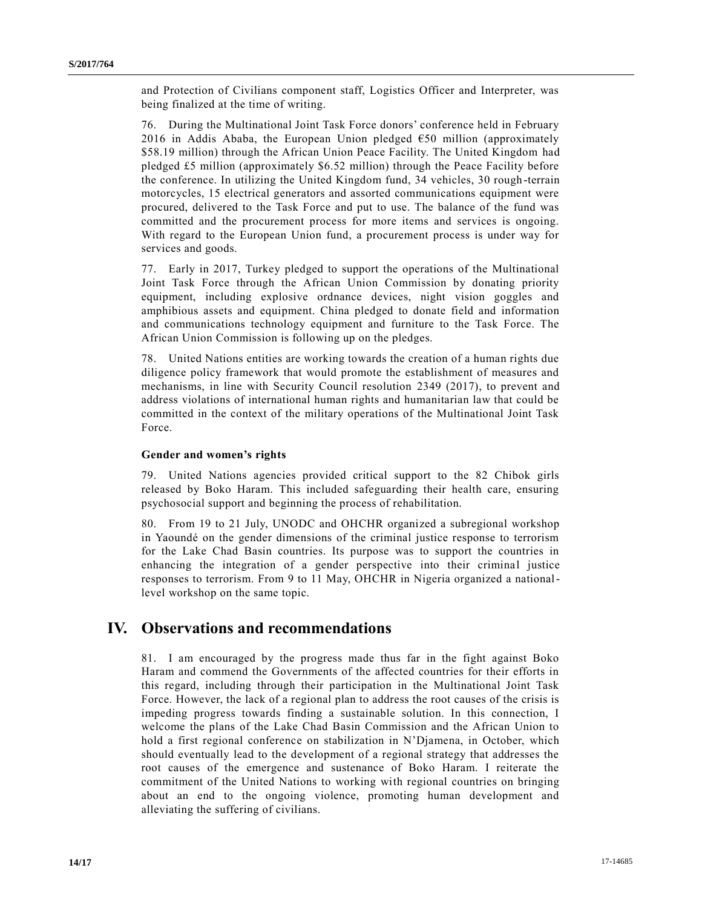and Protection of Civilians component staff, Logistics Officer and Interpreter, was being finalized at the time of writing.

76. During the Multinational Joint Task Force donors' conference held in February 2016 in Addis Ababa, the European Union pledged  $€50$  million (approximately \$58.19 million) through the African Union Peace Facility. The United Kingdom had pledged £5 million (approximately \$6.52 million) through the Peace Facility before the conference. In utilizing the United Kingdom fund, 34 vehicles, 30 rough -terrain motorcycles, 15 electrical generators and assorted communications equipment were procured, delivered to the Task Force and put to use. The balance of the fund was committed and the procurement process for more items and services is ongoing. With regard to the European Union fund, a procurement process is under way for services and goods.

77. Early in 2017, Turkey pledged to support the operations of the Multinational Joint Task Force through the African Union Commission by donating priority equipment, including explosive ordnance devices, night vision goggles and amphibious assets and equipment. China pledged to donate field and information and communications technology equipment and furniture to the Task Force. The African Union Commission is following up on the pledges.

78. United Nations entities are working towards the creation of a human rights due diligence policy framework that would promote the establishment of measures and mechanisms, in line with Security Council resolution [2349 \(2017\),](https://undocs.org/S/RES/2349(2017)) to prevent and address violations of international human rights and humanitarian law that could be committed in the context of the military operations of the Multinational Joint Task Force.

#### **Gender and women's rights**

79. United Nations agencies provided critical support to the 82 Chibok girls released by Boko Haram. This included safeguarding their health care, ensuring psychosocial support and beginning the process of rehabilitation.

80. From 19 to 21 July, UNODC and OHCHR organized a subregional workshop in Yaoundé on the gender dimensions of the criminal justice response to terrorism for the Lake Chad Basin countries. Its purpose was to support the countries in enhancing the integration of a gender perspective into their criminal justice responses to terrorism. From 9 to 11 May, OHCHR in Nigeria organized a nationallevel workshop on the same topic.

## **IV. Observations and recommendations**

81. I am encouraged by the progress made thus far in the fight against Boko Haram and commend the Governments of the affected countries for their efforts in this regard, including through their participation in the Multinational Joint Task Force. However, the lack of a regional plan to address the root causes of the crisis is impeding progress towards finding a sustainable solution. In this connection, I welcome the plans of the Lake Chad Basin Commission and the African Union to hold a first regional conference on stabilization in N'Djamena, in October, which should eventually lead to the development of a regional strategy that addresses the root causes of the emergence and sustenance of Boko Haram. I reiterate the commitment of the United Nations to working with regional countries on bringing about an end to the ongoing violence, promoting human development and alleviating the suffering of civilians.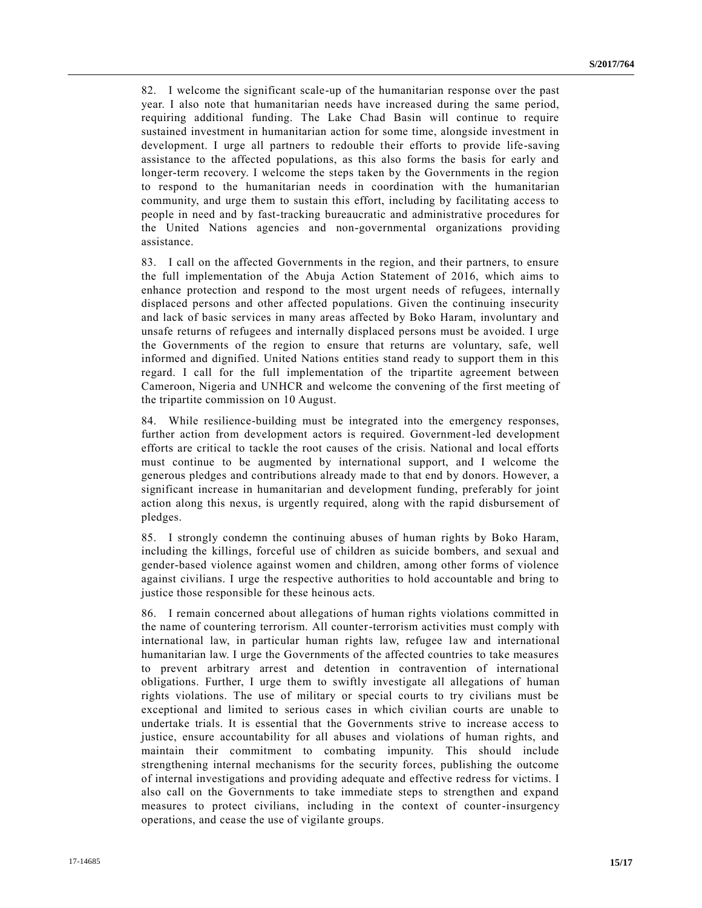82. I welcome the significant scale-up of the humanitarian response over the past year. I also note that humanitarian needs have increased during the same period, requiring additional funding. The Lake Chad Basin will continue to require sustained investment in humanitarian action for some time, alongside investment in development. I urge all partners to redouble their efforts to provide life-saving assistance to the affected populations, as this also forms the basis for early and longer-term recovery. I welcome the steps taken by the Governments in the region to respond to the humanitarian needs in coordination with the humanitarian community, and urge them to sustain this effort, including by facilitating access to people in need and by fast-tracking bureaucratic and administrative procedures for the United Nations agencies and non-governmental organizations providing assistance.

83. I call on the affected Governments in the region, and their partners, to ensure the full implementation of the Abuja Action Statement of 2016, which aims to enhance protection and respond to the most urgent needs of refugees, internally displaced persons and other affected populations. Given the continuing insecurity and lack of basic services in many areas affected by Boko Haram, involuntary and unsafe returns of refugees and internally displaced persons must be avoided. I urge the Governments of the region to ensure that returns are voluntary, safe, well informed and dignified. United Nations entities stand ready to support them in this regard. I call for the full implementation of the tripartite agreement between Cameroon, Nigeria and UNHCR and welcome the convening of the first meeting of the tripartite commission on 10 August.

84. While resilience-building must be integrated into the emergency responses, further action from development actors is required. Government-led development efforts are critical to tackle the root causes of the crisis. National and local efforts must continue to be augmented by international support, and I welcome the generous pledges and contributions already made to that end by donors. However, a significant increase in humanitarian and development funding, preferably for joint action along this nexus, is urgently required, along with the rapid disbursement of pledges.

85. I strongly condemn the continuing abuses of human rights by Boko Haram, including the killings, forceful use of children as suicide bombers, and sexual and gender-based violence against women and children, among other forms of violence against civilians. I urge the respective authorities to hold accountable and bring to justice those responsible for these heinous acts.

86. I remain concerned about allegations of human rights violations committed in the name of countering terrorism. All counter-terrorism activities must comply with international law, in particular human rights law, refugee law and international humanitarian law. I urge the Governments of the affected countries to take measures to prevent arbitrary arrest and detention in contravention of international obligations. Further, I urge them to swiftly investigate all allegations of human rights violations. The use of military or special courts to try civilians must be exceptional and limited to serious cases in which civilian courts are unable to undertake trials. It is essential that the Governments strive to increase access to justice, ensure accountability for all abuses and violations of human rights, and maintain their commitment to combating impunity. This should include strengthening internal mechanisms for the security forces, publishing the outcome of internal investigations and providing adequate and effective redress for victims. I also call on the Governments to take immediate steps to strengthen and expand measures to protect civilians, including in the context of counter-insurgency operations, and cease the use of vigilante groups.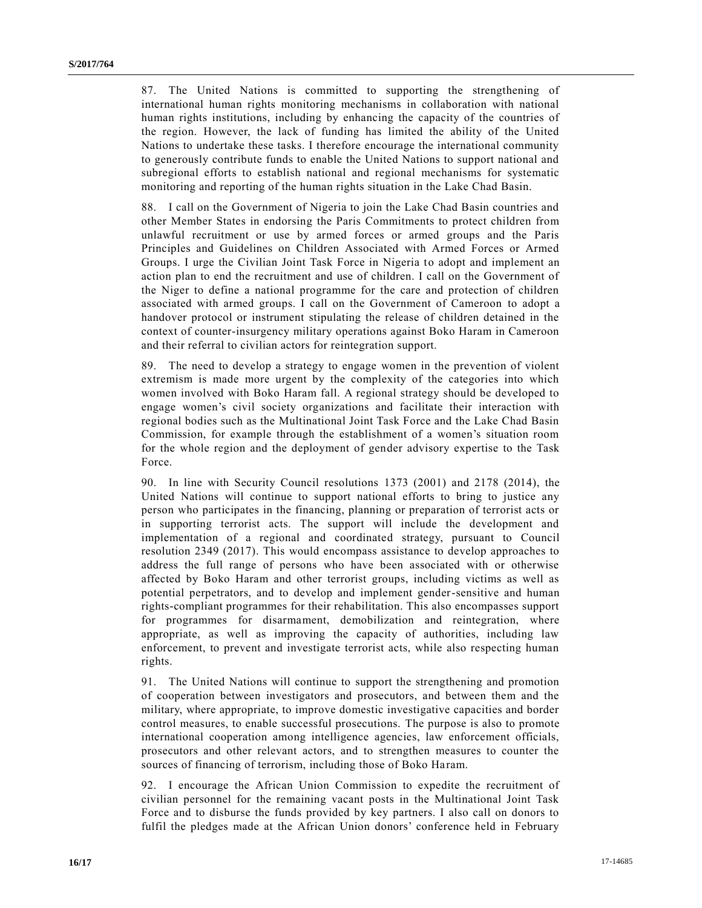87. The United Nations is committed to supporting the strengthening of international human rights monitoring mechanisms in collaboration with national human rights institutions, including by enhancing the capacity of the countries of the region. However, the lack of funding has limited the ability of the United Nations to undertake these tasks. I therefore encourage the international community to generously contribute funds to enable the United Nations to support national and subregional efforts to establish national and regional mechanisms for systematic monitoring and reporting of the human rights situation in the Lake Chad Basin.

88. I call on the Government of Nigeria to join the Lake Chad Basin countries and other Member States in endorsing the Paris Commitments to protect children from unlawful recruitment or use by armed forces or armed groups and the Paris Principles and Guidelines on Children Associated with Armed Forces or Armed Groups. I urge the Civilian Joint Task Force in Nigeria to adopt and implement an action plan to end the recruitment and use of children. I call on the Government of the Niger to define a national programme for the care and protection of children associated with armed groups. I call on the Government of Cameroon to adopt a handover protocol or instrument stipulating the release of children detained in the context of counter-insurgency military operations against Boko Haram in Cameroon and their referral to civilian actors for reintegration support.

89. The need to develop a strategy to engage women in the prevention of violent extremism is made more urgent by the complexity of the categories into which women involved with Boko Haram fall. A regional strategy should be developed to engage women's civil society organizations and facilitate their interaction with regional bodies such as the Multinational Joint Task Force and the Lake Chad Basin Commission, for example through the establishment of a women's situation room for the whole region and the deployment of gender advisory expertise to the Task Force.

90. In line with Security Council resolutions [1373 \(2001\)](https://undocs.org/S/RES/1373(2001)) and [2178 \(2014\),](https://undocs.org/S/RES/2178(2014)) the United Nations will continue to support national efforts to bring to justice any person who participates in the financing, planning or preparation of terrorist acts or in supporting terrorist acts. The support will include the development and implementation of a regional and coordinated strategy, pursuant to Council resolution [2349 \(2017\).](https://undocs.org/S/RES/2349(2017)) This would encompass assistance to develop approaches to address the full range of persons who have been associated with or otherwise affected by Boko Haram and other terrorist groups, including victims as well as potential perpetrators, and to develop and implement gender-sensitive and human rights-compliant programmes for their rehabilitation. This also encompasses support for programmes for disarmament, demobilization and reintegration, where appropriate, as well as improving the capacity of authorities, including law enforcement, to prevent and investigate terrorist acts, while also respecting human rights.

91. The United Nations will continue to support the strengthening and promotion of cooperation between investigators and prosecutors, and between them and the military, where appropriate, to improve domestic investigative capacities and border control measures, to enable successful prosecutions. The purpose is also to promote international cooperation among intelligence agencies, law enforcement officials, prosecutors and other relevant actors, and to strengthen measures to counter the sources of financing of terrorism, including those of Boko Haram.

92. I encourage the African Union Commission to expedite the recruitment of civilian personnel for the remaining vacant posts in the Multinational Joint Task Force and to disburse the funds provided by key partners. I also call on donors to fulfil the pledges made at the African Union donors' conference held in February